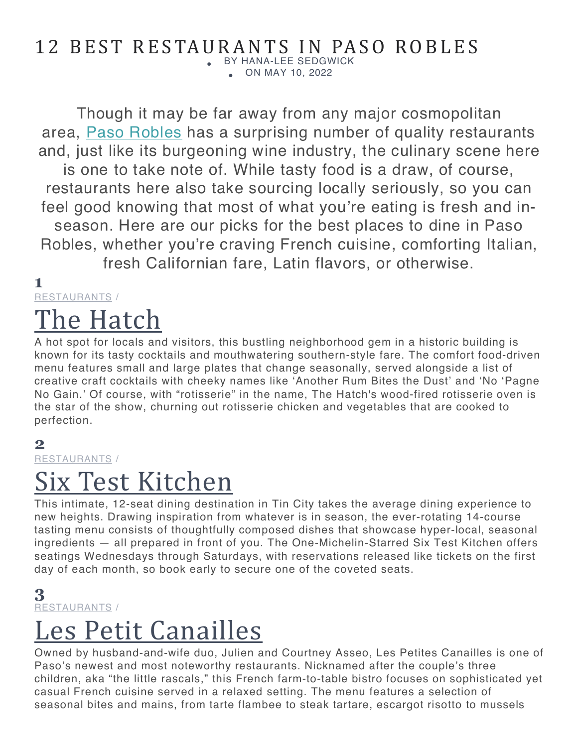### 12 BEST RESTAURANTS IN PASO ROBLES

• BY HANA-LEE SEDGWICK • ON MAY 10, 2022

Though it may be far away from any major cosmopolitan area, Paso Robles has a surprising number of quality restaurants and, just like its burgeoning wine industry, the culinary scene here is one to take note of. While tasty food is a draw, of course, restaurants here also take sourcing locally seriously, so you can feel good knowing that most of what you're eating is fresh and inseason. Here are our picks for the best places to dine in Paso Robles, whether you're craving French cuisine, comforting Italian, fresh Californian fare, Latin flavors, or otherwise.

#### **1**

RESTAURANTS /

# The Hatch

A hot spot for locals and visitors, this bustling neighborhood gem in a historic building is known for its tasty cocktails and mouthwatering southern-style fare. The comfort food-driven menu features small and large plates that change seasonally, served alongside a list of creative craft cocktails with cheeky names like 'Another Rum Bites the Dust' and 'No 'Pagne No Gain.' Of course, with "rotisserie" in the name, The Hatch's wood-fired rotisserie oven is the star of the show, churning out rotisserie chicken and vegetables that are cooked to perfection.

#### **2**

RESTAURANTS /

### Six Test Kitchen

This intimate, 12-seat dining destination in Tin City takes the average dining experience to new heights. Drawing inspiration from whatever is in season, the ever-rotating 14-course tasting menu consists of thoughtfully composed dishes that showcase hyper-local, seasonal ingredients — all prepared in front of you. The One-Michelin-Starred Six Test Kitchen offers seatings Wednesdays through Saturdays, with reservations released like tickets on the first day of each month, so book early to secure one of the coveted seats.

#### **3** RESTAURANTS /

## Les Petit Canailles

Owned by husband-and-wife duo, Julien and Courtney Asseo, Les Petites Canailles is one of Paso's newest and most noteworthy restaurants. Nicknamed after the couple's three children, aka "the little rascals," this French farm-to-table bistro focuses on sophisticated yet casual French cuisine served in a relaxed setting. The menu features a selection of seasonal bites and mains, from tarte flambee to steak tartare, escargot risotto to mussels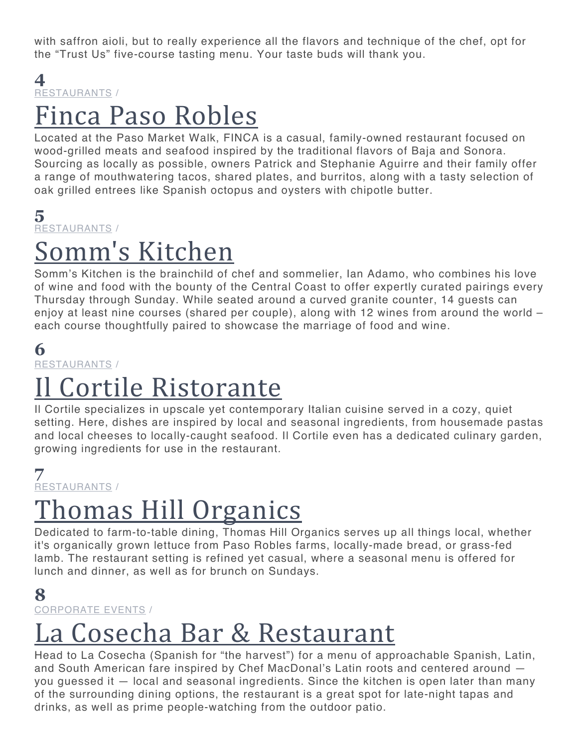with saffron aioli, but to really experience all the flavors and technique of the chef, opt for the "Trust Us" five-course tasting menu. Your taste buds will thank you.

#### **4** RESTAURANTS /

### Finca Paso Robles

Located at the Paso Market Walk, FINCA is a casual, family-owned restaurant focused on wood-grilled meats and seafood inspired by the traditional flavors of Baja and Sonora. Sourcing as locally as possible, owners Patrick and Stephanie Aguirre and their family offer a range of mouthwatering tacos, shared plates, and burritos, along with a tasty selection of oak grilled entrees like Spanish octopus and oysters with chipotle butter.

#### **5** RESTAURANTS /

## omm's Kitchen

Somm's Kitchen is the brainchild of chef and sommelier, Ian Adamo, who combines his love of wine and food with the bounty of the Central Coast to offer expertly curated pairings every Thursday through Sunday. While seated around a curved granite counter, 14 guests can enjoy at least nine courses (shared per couple), along with 12 wines from around the world – each course thoughtfully paired to showcase the marriage of food and wine.

### **6**

RESTAURANTS /

## Cortile Ristorante

Il Cortile specializes in upscale yet contemporary Italian cuisine served in a cozy, quiet setting. Here, dishes are inspired by local and seasonal ingredients, from housemade pastas and local cheeses to locally-caught seafood. Il Cortile even has a dedicated culinary garden, growing ingredients for use in the restaurant.

#### **7** RESTAURANTS /

# <u>Thomas Hill Organics</u>

Dedicated to farm-to-table dining, Thomas Hill Organics serves up all things local, whether it's organically grown lettuce from Paso Robles farms, locally-made bread, or grass-fed lamb. The restaurant setting is refined yet casual, where a seasonal menu is offered for lunch and dinner, as well as for brunch on Sundays.

#### **8** CORPORATE EVENTS /

# La Cosecha Bar & Restaurant

Head to La Cosecha (Spanish for "the harvest") for a menu of approachable Spanish, Latin, and South American fare inspired by Chef MacDonal's Latin roots and centered around you guessed it — local and seasonal ingredients. Since the kitchen is open later than many of the surrounding dining options, the restaurant is a great spot for late-night tapas and drinks, as well as prime people-watching from the outdoor patio.